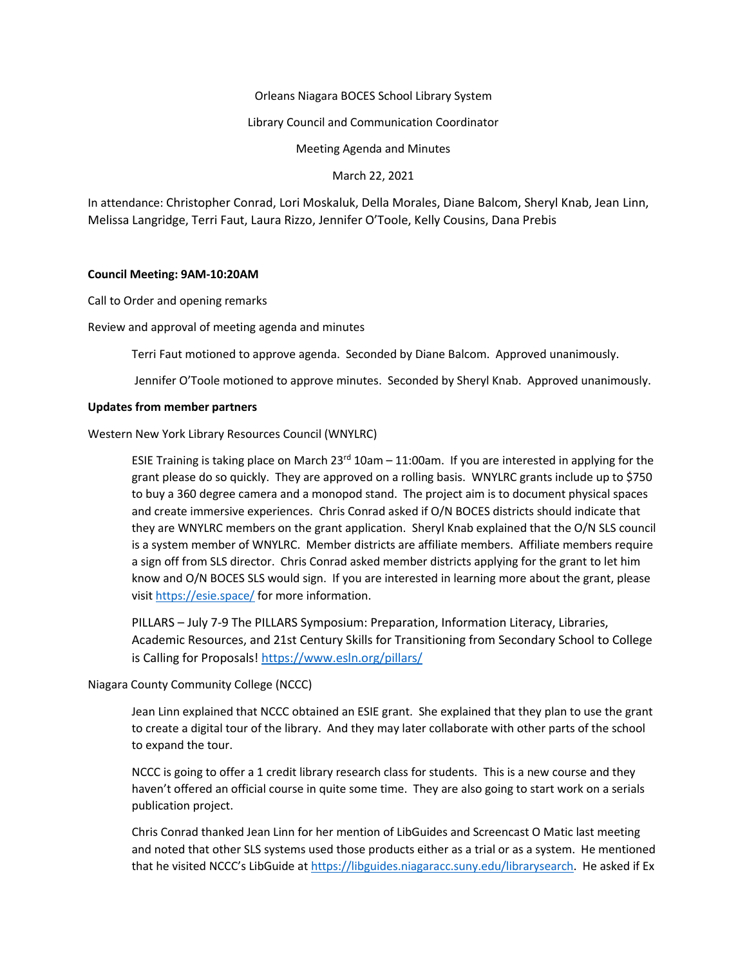## Orleans Niagara BOCES School Library System

### Library Council and Communication Coordinator

Meeting Agenda and Minutes

March 22, 2021

In attendance: Christopher Conrad, Lori Moskaluk, Della Morales, Diane Balcom, Sheryl Knab, Jean Linn, Melissa Langridge, Terri Faut, Laura Rizzo, Jennifer O'Toole, Kelly Cousins, Dana Prebis

## **Council Meeting: 9AM-10:20AM**

Call to Order and opening remarks

Review and approval of meeting agenda and minutes

Terri Faut motioned to approve agenda. Seconded by Diane Balcom. Approved unanimously.

Jennifer O'Toole motioned to approve minutes. Seconded by Sheryl Knab. Approved unanimously.

## **Updates from member partners**

Western New York Library Resources Council (WNYLRC)

ESIE Training is taking place on March 23<sup>rd</sup> 10am – 11:00am. If you are interested in applying for the grant please do so quickly. They are approved on a rolling basis. WNYLRC grants include up to \$750 to buy a 360 degree camera and a monopod stand. The project aim is to document physical spaces and create immersive experiences. Chris Conrad asked if O/N BOCES districts should indicate that they are WNYLRC members on the grant application. Sheryl Knab explained that the O/N SLS council is a system member of WNYLRC. Member districts are affiliate members. Affiliate members require a sign off from SLS director. Chris Conrad asked member districts applying for the grant to let him know and O/N BOCES SLS would sign. If you are interested in learning more about the grant, please visit <https://esie.space/> for more information.

PILLARS – July 7-9 The PILLARS Symposium: Preparation, Information Literacy, Libraries, Academic Resources, and 21st Century Skills for Transitioning from Secondary School to College is Calling for Proposals!<https://www.esln.org/pillars/>

## Niagara County Community College (NCCC)

Jean Linn explained that NCCC obtained an ESIE grant. She explained that they plan to use the grant to create a digital tour of the library. And they may later collaborate with other parts of the school to expand the tour.

NCCC is going to offer a 1 credit library research class for students. This is a new course and they haven't offered an official course in quite some time. They are also going to start work on a serials publication project.

Chris Conrad thanked Jean Linn for her mention of LibGuides and Screencast O Matic last meeting and noted that other SLS systems used those products either as a trial or as a system. He mentioned that he visited NCCC's LibGuide at [https://libguides.niagaracc.suny.edu/librarysearch.](https://libguides.niagaracc.suny.edu/librarysearch) He asked if Ex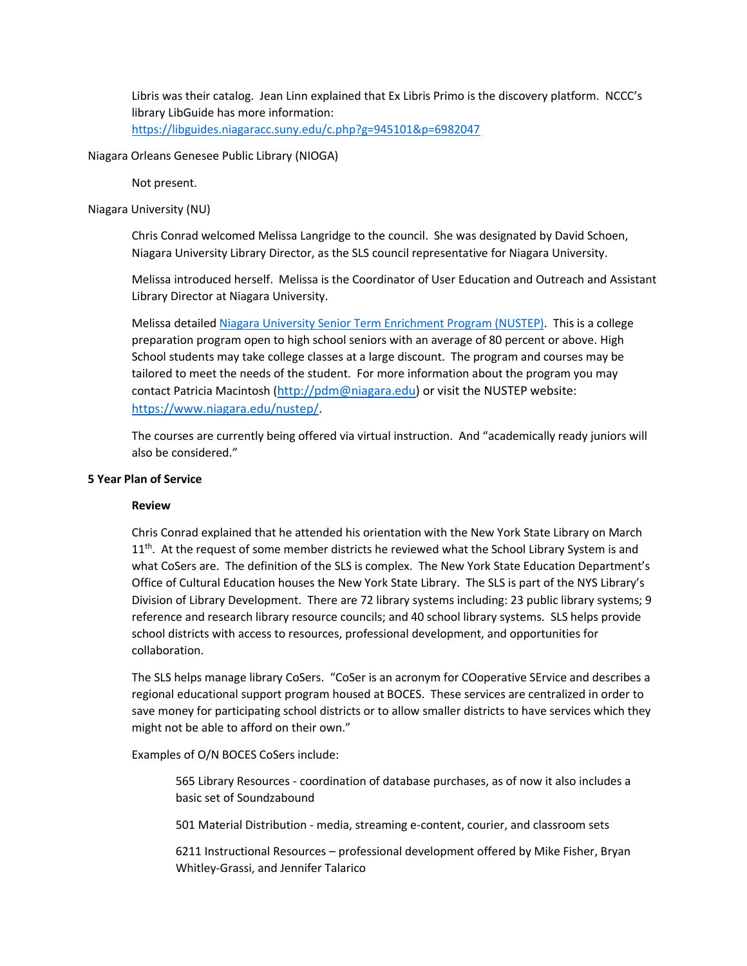Libris was their catalog. Jean Linn explained that Ex Libris Primo is the discovery platform. NCCC's library LibGuide has more information:

<https://libguides.niagaracc.suny.edu/c.php?g=945101&p=6982047>

Niagara Orleans Genesee Public Library (NIOGA)

Not present.

Niagara University (NU)

Chris Conrad welcomed Melissa Langridge to the council. She was designated by David Schoen, Niagara University Library Director, as the SLS council representative for Niagara University.

Melissa introduced herself. Melissa is the Coordinator of User Education and Outreach and Assistant Library Director at Niagara University.

Melissa detailed [Niagara University Senior Term Enrichment Program \(NUSTEP\).](https://www.niagara.edu/nustep/) This is a college preparation program open to high school seniors with an average of 80 percent or above. High School students may take college classes at a large discount. The program and courses may be tailored to meet the needs of the student. For more information about the program you may contact Patricia Macintosh ([http://pdm@niagara.edu\)](http://pdm@niagara.edu) or visit the NUSTEP website: [https://www.niagara.edu/nustep/.](https://www.niagara.edu/nustep/)

The courses are currently being offered via virtual instruction. And "academically ready juniors will also be considered."

# **5 Year Plan of Service**

## **Review**

Chris Conrad explained that he attended his orientation with the New York State Library on March  $11<sup>th</sup>$ . At the request of some member districts he reviewed what the School Library System is and what CoSers are. The definition of the SLS is complex. The New York State Education Department's Office of Cultural Education houses the New York State Library. The SLS is part of the NYS Library's Division of Library Development. There are 72 library systems including: 23 public library systems; 9 reference and research library resource councils; and 40 school library systems. SLS helps provide school districts with access to resources, professional development, and opportunities for collaboration.

The SLS helps manage library CoSers. "CoSer is an acronym for COoperative SErvice and describes a regional educational support program housed at BOCES. These services are centralized in order to save money for participating school districts or to allow smaller districts to have services which they might not be able to afford on their own."

Examples of O/N BOCES CoSers include:

565 Library Resources - coordination of database purchases, as of now it also includes a basic set of Soundzabound

501 Material Distribution - media, streaming e-content, courier, and classroom sets

6211 Instructional Resources – professional development offered by Mike Fisher, Bryan Whitley-Grassi, and Jennifer Talarico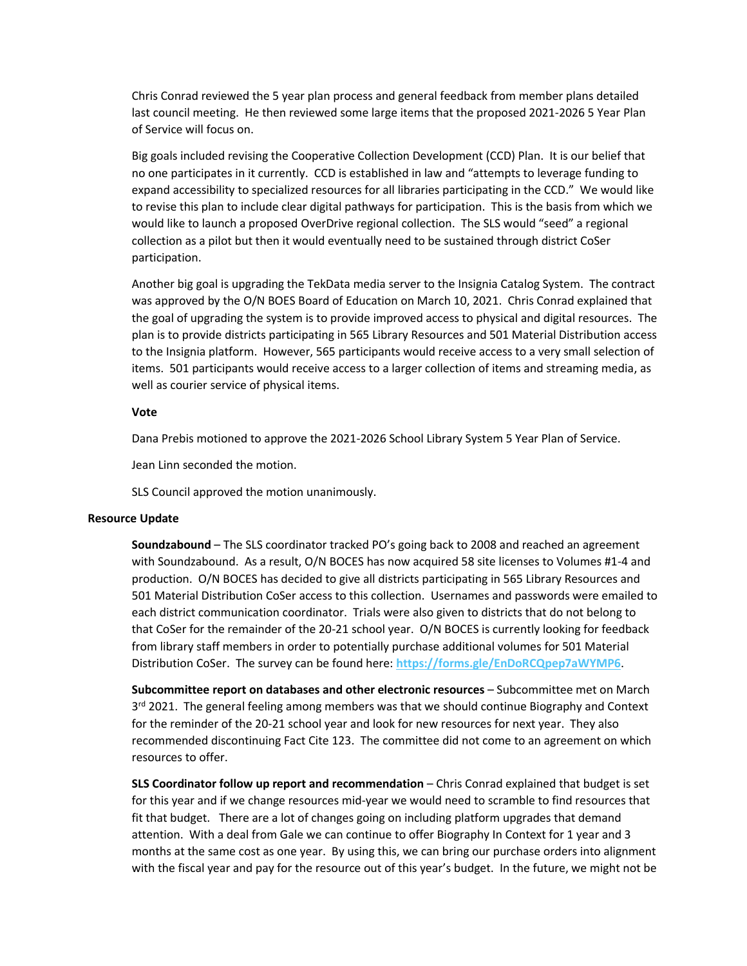Chris Conrad reviewed the 5 year plan process and general feedback from member plans detailed last council meeting. He then reviewed some large items that the proposed 2021-2026 5 Year Plan of Service will focus on.

Big goals included revising the Cooperative Collection Development (CCD) Plan. It is our belief that no one participates in it currently. CCD is established in law and "attempts to leverage funding to expand accessibility to specialized resources for all libraries participating in the CCD." We would like to revise this plan to include clear digital pathways for participation. This is the basis from which we would like to launch a proposed OverDrive regional collection. The SLS would "seed" a regional collection as a pilot but then it would eventually need to be sustained through district CoSer participation.

Another big goal is upgrading the TekData media server to the Insignia Catalog System. The contract was approved by the O/N BOES Board of Education on March 10, 2021. Chris Conrad explained that the goal of upgrading the system is to provide improved access to physical and digital resources. The plan is to provide districts participating in 565 Library Resources and 501 Material Distribution access to the Insignia platform. However, 565 participants would receive access to a very small selection of items. 501 participants would receive access to a larger collection of items and streaming media, as well as courier service of physical items.

#### **Vote**

Dana Prebis motioned to approve the 2021-2026 School Library System 5 Year Plan of Service.

Jean Linn seconded the motion.

SLS Council approved the motion unanimously.

#### **Resource Update**

**Soundzabound** – The SLS coordinator tracked PO's going back to 2008 and reached an agreement with Soundzabound. As a result, O/N BOCES has now acquired 58 site licenses to Volumes #1-4 and production. O/N BOCES has decided to give all districts participating in 565 Library Resources and 501 Material Distribution CoSer access to this collection. Usernames and passwords were emailed to each district communication coordinator. Trials were also given to districts that do not belong to that CoSer for the remainder of the 20-21 school year. O/N BOCES is currently looking for feedback from library staff members in order to potentially purchase additional volumes for 501 Material Distribution CoSer. The survey can be found here: **<https://forms.gle/EnDoRCQpep7aWYMP6>**.

**Subcommittee report on databases and other electronic resources** – Subcommittee met on March 3<sup>rd</sup> 2021. The general feeling among members was that we should continue Biography and Context for the reminder of the 20-21 school year and look for new resources for next year. They also recommended discontinuing Fact Cite 123. The committee did not come to an agreement on which resources to offer.

**SLS Coordinator follow up report and recommendation** – Chris Conrad explained that budget is set for this year and if we change resources mid-year we would need to scramble to find resources that fit that budget. There are a lot of changes going on including platform upgrades that demand attention. With a deal from Gale we can continue to offer Biography In Context for 1 year and 3 months at the same cost as one year. By using this, we can bring our purchase orders into alignment with the fiscal year and pay for the resource out of this year's budget. In the future, we might not be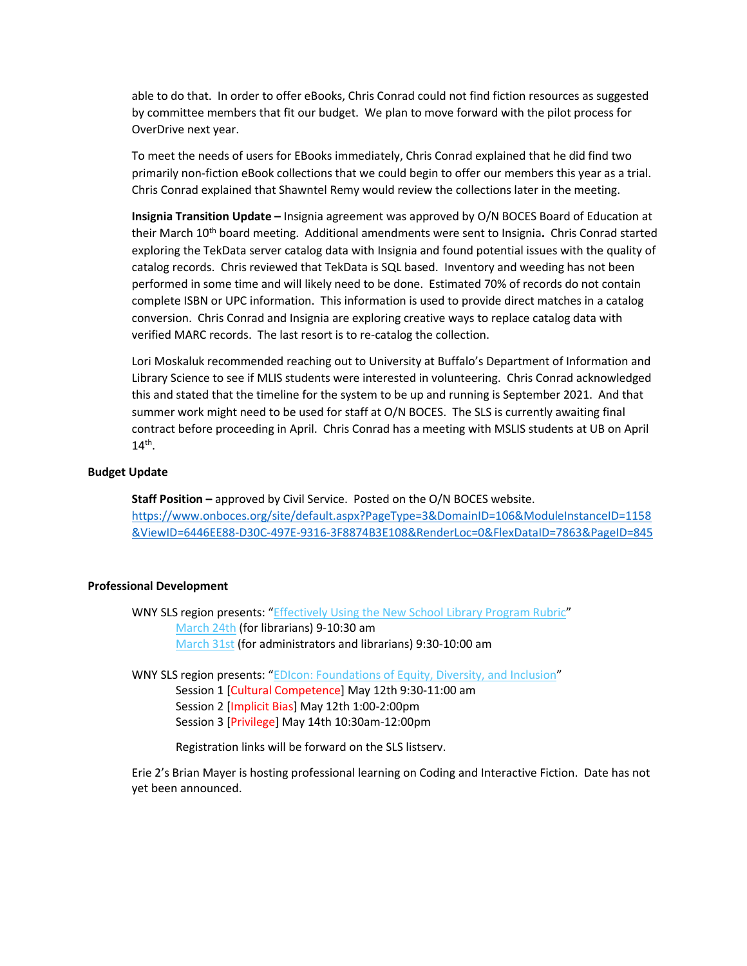able to do that. In order to offer eBooks, Chris Conrad could not find fiction resources as suggested by committee members that fit our budget. We plan to move forward with the pilot process for OverDrive next year.

To meet the needs of users for EBooks immediately, Chris Conrad explained that he did find two primarily non-fiction eBook collections that we could begin to offer our members this year as a trial. Chris Conrad explained that Shawntel Remy would review the collections later in the meeting.

**Insignia Transition Update –** Insignia agreement was approved by O/N BOCES Board of Education at their March 10th board meeting. Additional amendments were sent to Insignia**.** Chris Conrad started exploring the TekData server catalog data with Insignia and found potential issues with the quality of catalog records. Chris reviewed that TekData is SQL based. Inventory and weeding has not been performed in some time and will likely need to be done. Estimated 70% of records do not contain complete ISBN or UPC information. This information is used to provide direct matches in a catalog conversion. Chris Conrad and Insignia are exploring creative ways to replace catalog data with verified MARC records. The last resort is to re-catalog the collection.

Lori Moskaluk recommended reaching out to University at Buffalo's Department of Information and Library Science to see if MLIS students were interested in volunteering. Chris Conrad acknowledged this and stated that the timeline for the system to be up and running is September 2021. And that summer work might need to be used for staff at O/N BOCES. The SLS is currently awaiting final contract before proceeding in April. Chris Conrad has a meeting with MSLIS students at UB on April  $14<sup>th</sup>$ .

## **Budget Update**

**Staff Position –** approved by Civil Service. Posted on the O/N BOCES website. [https://www.onboces.org/site/default.aspx?PageType=3&DomainID=106&ModuleInstanceID=1158](https://www.onboces.org/site/default.aspx?PageType=3&DomainID=106&ModuleInstanceID=1158&ViewID=6446EE88-D30C-497E-9316-3F8874B3E108&RenderLoc=0&FlexDataID=7863&PageID=845) [&ViewID=6446EE88-D30C-497E-9316-3F8874B3E108&RenderLoc=0&FlexDataID=7863&PageID=845](https://www.onboces.org/site/default.aspx?PageType=3&DomainID=106&ModuleInstanceID=1158&ViewID=6446EE88-D30C-497E-9316-3F8874B3E108&RenderLoc=0&FlexDataID=7863&PageID=845)

#### **Professional Development**

WNY SLS region presents: "[Effectively Using the New School Library Program Rubric](https://drive.google.com/file/d/1iZLSWkPanXdAWoNIh7d2BaY067rlsL1a/view?usp=sharing)" [March 24th](https://forms.gle/s4gxrgVxqaQAjQB1A) (for librarians) 9-10:30 am [March 31st](https://forms.gle/BuxAbnm3xkgpAykR7) (for administrators and librarians) 9:30-10:00 am

WNY SLS region presents: "[EDIcon: Foundations of Equity, Diversity, and Inclusion](https://drive.google.com/file/d/1JmYJbsZ-UgVlZiXrWoWlSz20MuYnV19E/view?usp=sharing)" Session 1 [Cultural Competence] May 12th 9:30-11:00 am Session 2 [Implicit Bias] May 12th 1:00-2:00pm Session 3 [Privilege] May 14th 10:30am-12:00pm

Registration links will be forward on the SLS listserv.

Erie 2's Brian Mayer is hosting professional learning on Coding and Interactive Fiction. Date has not yet been announced.